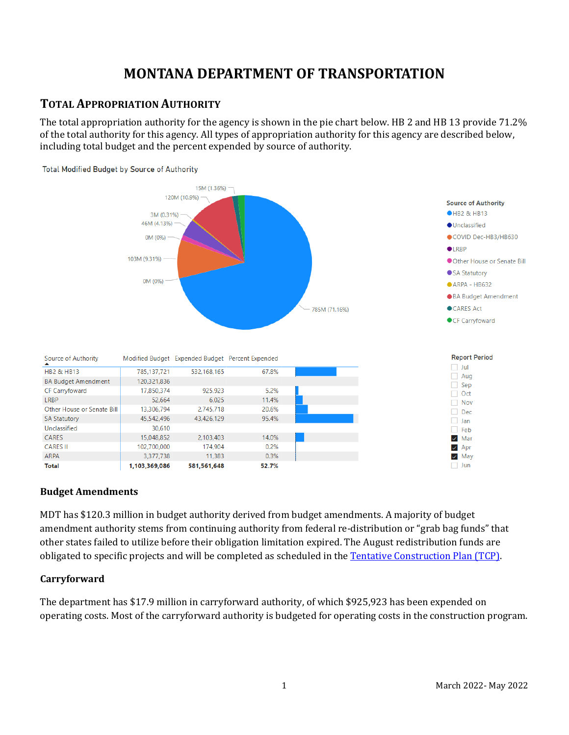# **MONTANA DEPARTMENT OF TRANSPORTATION**

### **TOTAL APPROPRIATION AUTHORITY**

The total appropriation authority for the agency is shown in the pie chart below. HB 2 and HB 13 provide 71.2% of the total authority for this agency. All types of appropriation authority for this agency are described below, including total budget and the percent expended by source of authority.



#### **Budget Amendments**

MDT has \$120.3 million in budget authority derived from budget amendments. A majority of budget amendment authority stems from continuing authority from federal re-distribution or "grab bag funds" that other states failed to utilize before their obligation limitation expired. The August redistribution funds are obligated to specific projects and will be completed as scheduled in the [Tentative Construction Plan \(TCP\).](https://www.mdt.mt.gov/pubinvolve/project-mgmt.shtml)

#### **Carryforward**

The department has \$17.9 million in carryforward authority, of which \$925,923 has been expended on operating costs. Most of the carryforward authority is budgeted for operating costs in the construction program.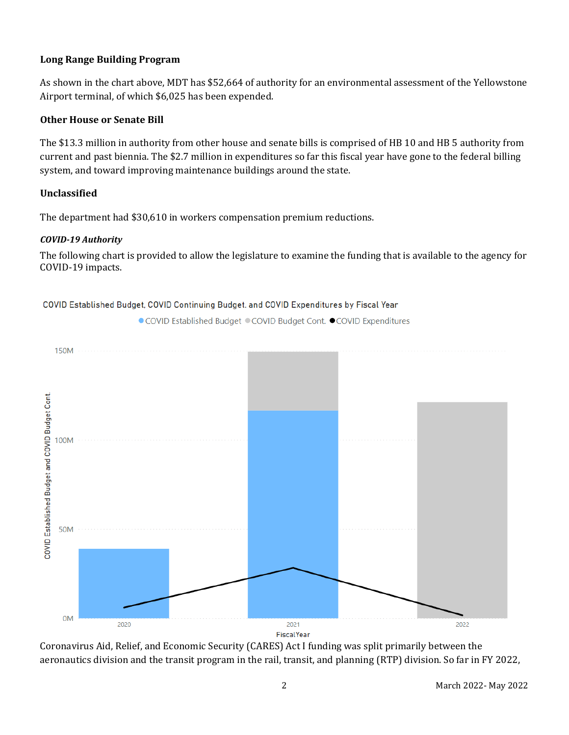#### **Long Range Building Program**

As shown in the chart above, MDT has \$52,664 of authority for an environmental assessment of the Yellowstone Airport terminal, of which \$6,025 has been expended.

#### **Other House or Senate Bill**

The \$13.3 million in authority from other house and senate bills is comprised of HB 10 and HB 5 authority from current and past biennia. The \$2.7 million in expenditures so far this fiscal year have gone to the federal billing system, and toward improving maintenance buildings around the state.

#### **Unclassified**

The department had \$30,610 in workers compensation premium reductions.

#### *COVID-19 Authority*

The following chart is provided to allow the legislature to examine the funding that is available to the agency for COVID-19 impacts.



COVID Established Budget, COVID Continuing Budget, and COVID Expenditures by Fiscal Year

● COVID Established Budget ● COVID Budget Cont. ● COVID Expenditures

Coronavirus Aid, Relief, and Economic Security (CARES) Act I funding was split primarily between the aeronautics division and the transit program in the rail, transit, and planning (RTP) division. So far in FY 2022,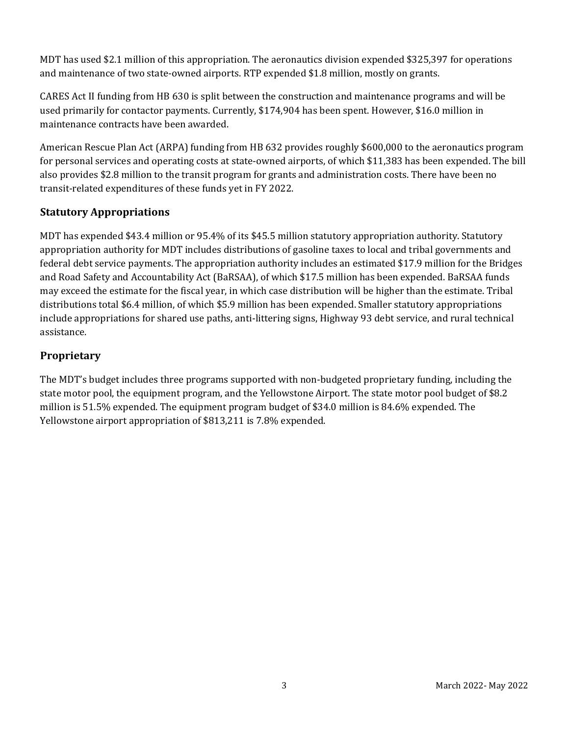MDT has used \$2.1 million of this appropriation. The aeronautics division expended \$325,397 for operations and maintenance of two state-owned airports. RTP expended \$1.8 million, mostly on grants.

CARES Act II funding from HB 630 is split between the construction and maintenance programs and will be used primarily for contactor payments. Currently, \$174,904 has been spent. However, \$16.0 million in maintenance contracts have been awarded.

American Rescue Plan Act (ARPA) funding from HB 632 provides roughly \$600,000 to the aeronautics program for personal services and operating costs at state-owned airports, of which \$11,383 has been expended. The bill also provides \$2.8 million to the transit program for grants and administration costs. There have been no transit-related expenditures of these funds yet in FY 2022.

### **Statutory Appropriations**

MDT has expended \$43.4 million or 95.4% of its \$45.5 million statutory appropriation authority. Statutory appropriation authority for MDT includes distributions of gasoline taxes to local and tribal governments and federal debt service payments. The appropriation authority includes an estimated \$17.9 million for the Bridges and Road Safety and Accountability Act (BaRSAA), of which \$17.5 million has been expended. BaRSAA funds may exceed the estimate for the fiscal year, in which case distribution will be higher than the estimate. Tribal distributions total \$6.4 million, of which \$5.9 million has been expended. Smaller statutory appropriations include appropriations for shared use paths, anti-littering signs, Highway 93 debt service, and rural technical assistance.

### **Proprietary**

The MDT's budget includes three programs supported with non-budgeted proprietary funding, including the state motor pool, the equipment program, and the Yellowstone Airport. The state motor pool budget of \$8.2 million is 51.5% expended. The equipment program budget of \$34.0 million is 84.6% expended. The Yellowstone airport appropriation of \$813,211 is 7.8% expended.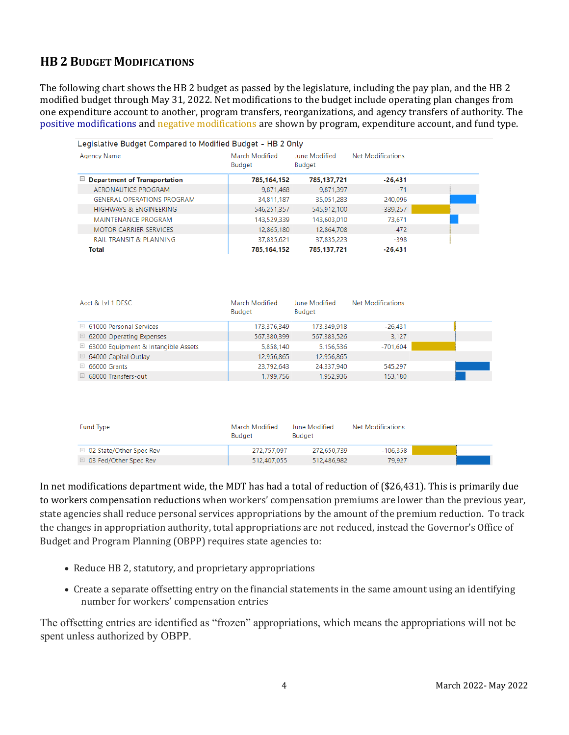# **HB 2 BUDGET MODIFICATIONS**

The following chart shows the HB 2 budget as passed by the legislature, including the pay plan, and the HB 2 modified budget through May 31, 2022. Net modifications to the budget include operating plan changes from one expenditure account to another, program transfers, reorganizations, and agency transfers of authority. The positive modifications and negative modifications are shown by program, expenditure account, and fund type.

| Legislative Budget Compared to Modified Budget - HB 2 Only |                                 |                                |                          |  |  |  |  |  |
|------------------------------------------------------------|---------------------------------|--------------------------------|--------------------------|--|--|--|--|--|
| Agency Name                                                | March Modified<br><b>Budget</b> | June Modified<br><b>Budget</b> | <b>Net Modifications</b> |  |  |  |  |  |
| $\Box$ Department of Transportation                        | 785,164,152                     | 785,137,721                    | $-26,431$                |  |  |  |  |  |
| AERONAUTICS PROGRAM                                        | 9.871.468                       | 9.871.397                      | $-71$                    |  |  |  |  |  |
| <b>GENERAL OPERATIONS PROGRAM</b>                          | 34,811,187                      | 35,051,283                     | 240.096                  |  |  |  |  |  |
| <b>HIGHWAYS &amp; ENGINEERING</b>                          | 546,251,357                     | 545,912,100                    | $-339,257$               |  |  |  |  |  |
| <b>MAINTENANCE PROGRAM</b>                                 | 143.529.339                     | 143,603,010                    | 73.671                   |  |  |  |  |  |
| <b>MOTOR CARRIER SERVICES</b>                              | 12,865,180                      | 12,864,708                     | $-472$                   |  |  |  |  |  |
| <b>RAIL TRANSIT &amp; PLANNING</b>                         | 37,835,621                      | 37,835,223                     | $-398$                   |  |  |  |  |  |
| Total                                                      | 785.164.152                     | 785, 137, 721                  | $-26.431$                |  |  |  |  |  |

| Acct & LvI 1 DESC                              | March Modified<br><b>Budget</b> | June Modified<br>Budget | <b>Net Modifications</b> |  |
|------------------------------------------------|---------------------------------|-------------------------|--------------------------|--|
| $\boxplus$ 61000 Personal Services             | 173,376,349                     | 173,349,918             | $-26,431$                |  |
| $\boxplus$ 62000 Operating Expenses            | 567,380,399                     | 567,383,526             | 3.127                    |  |
| $\boxplus$ 63000 Equipment & Intangible Assets | 5,858,140                       | 5,156,536               | -701.604                 |  |
| $\boxplus$ 64000 Capital Outlay                | 12,956,865                      | 12,956,865              |                          |  |
| $\boxplus$ 66000 Grants                        | 23,792,643                      | 24.337.940              | 545.297                  |  |
| $\boxplus$ 68000 Transfers-out                 | 1,799,756                       | 1,952,936               | 153.180                  |  |

| Fund Type                          | March Modified<br>Budget | June Modified<br><b>Budget</b> | Net Modifications |  |
|------------------------------------|--------------------------|--------------------------------|-------------------|--|
| $\boxplus$ 02 State/Other Spec Rev | 272.757.097              | 272.650.739                    | -106.358          |  |
| $\boxplus$ 03 Fed/Other Spec Rev   | 512.407.055              | 512,486,982                    | 79.927            |  |

In net modifications department wide, the MDT has had a total of reduction of (\$26,431). This is primarily due to workers compensation reductions when workers' compensation premiums are lower than the previous year, state agencies shall reduce personal services appropriations by the amount of the premium reduction. To track the changes in appropriation authority, total appropriations are not reduced, instead the Governor's Office of Budget and Program Planning (OBPP) requires state agencies to:

- Reduce HB 2, statutory, and proprietary appropriations
- Create a separate offsetting entry on the financial statements in the same amount using an identifying number for workers' compensation entries

The offsetting entries are identified as "frozen" appropriations, which means the appropriations will not be spent unless authorized by OBPP.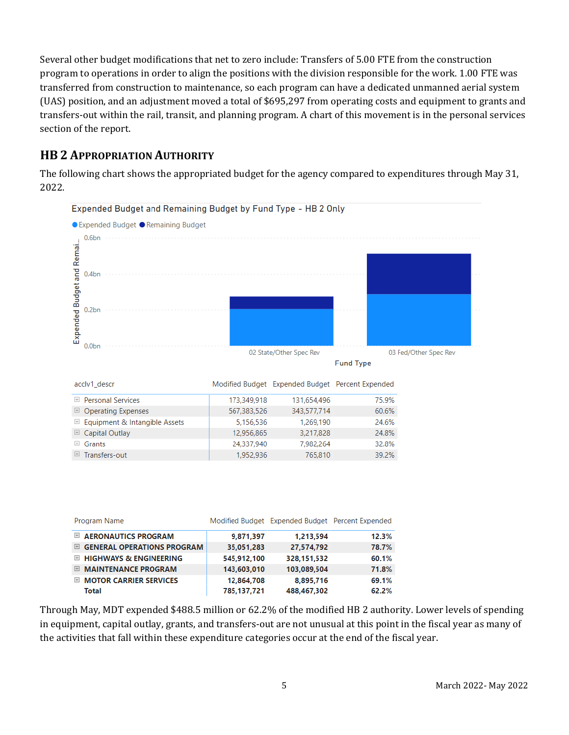Several other budget modifications that net to zero include: Transfers of 5.00 FTE from the construction program to operations in order to align the positions with the division responsible for the work. 1.00 FTE was transferred from construction to maintenance, so each program can have a dedicated unmanned aerial system (UAS) position, and an adjustment moved a total of \$695,297 from operating costs and equipment to grants and transfers-out within the rail, transit, and planning program. A chart of this movement is in the personal services section of the report.

# **HB 2 APPROPRIATION AUTHORITY**

The following chart shows the appropriated budget for the agency compared to expenditures through May 31, 2022.



|       | Program Name                      |             | Modified Budget Expended Budget Percent Expended |       |
|-------|-----------------------------------|-------------|--------------------------------------------------|-------|
| $+$   | <b>AERONAUTICS PROGRAM</b>        | 9,871,397   | 1,213,594                                        | 12.3% |
| $\pm$ | <b>GENERAL OPERATIONS PROGRAM</b> | 35,051,283  | 27,574,792                                       | 78.7% |
|       | $\boxplus$ HIGHWAYS & ENGINEERING | 545,912,100 | 328,151,532                                      | 60.1% |
| $\pm$ | <b>MAINTENANCE PROGRAM</b>        | 143,603,010 | 103,089,504                                      | 71.8% |
| $+$   | <b>MOTOR CARRIER SERVICES</b>     | 12,864,708  | 8,895,716                                        | 69.1% |
|       | <b>Total</b>                      | 785,137,721 | 488,467,302                                      | 62.2% |

Through May, MDT expended \$488.5 million or 62.2% of the modified HB 2 authority. Lower levels of spending in equipment, capital outlay, grants, and transfers-out are not unusual at this point in the fiscal year as many of the activities that fall within these expenditure categories occur at the end of the fiscal year.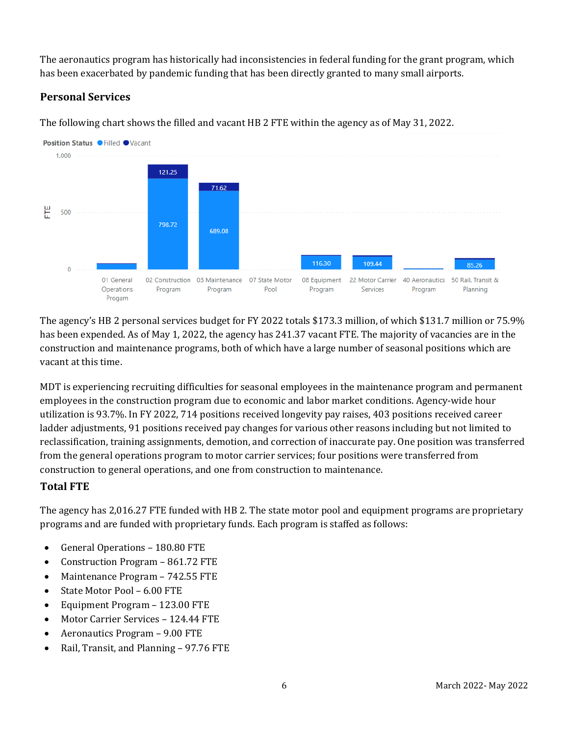The aeronautics program has historically had inconsistencies in federal funding for the grant program, which has been exacerbated by pandemic funding that has been directly granted to many small airports.

# **Personal Services**

The following chart shows the filled and vacant HB 2 FTE within the agency as of May 31, 2022.



The agency's HB 2 personal services budget for FY 2022 totals \$173.3 million, of which \$131.7 million or 75.9% has been expended. As of May 1, 2022, the agency has 241.37 vacant FTE. The majority of vacancies are in the construction and maintenance programs, both of which have a large number of seasonal positions which are vacant at this time.

MDT is experiencing recruiting difficulties for seasonal employees in the maintenance program and permanent employees in the construction program due to economic and labor market conditions. Agency-wide hour utilization is 93.7%. In FY 2022, 714 positions received longevity pay raises, 403 positions received career ladder adjustments, 91 positions received pay changes for various other reasons including but not limited to reclassification, training assignments, demotion, and correction of inaccurate pay. One position was transferred from the general operations program to motor carrier services; four positions were transferred from construction to general operations, and one from construction to maintenance.

#### **Total FTE**

The agency has 2,016.27 FTE funded with HB 2. The state motor pool and equipment programs are proprietary programs and are funded with proprietary funds. Each program is staffed as follows:

- General Operations 180.80 FTE
- Construction Program 861.72 FTE
- Maintenance Program 742.55 FTE
- State Motor Pool 6.00 FTE
- Equipment Program 123.00 FTE
- Motor Carrier Services 124.44 FTE
- Aeronautics Program 9.00 FTE
- Rail, Transit, and Planning 97.76 FTE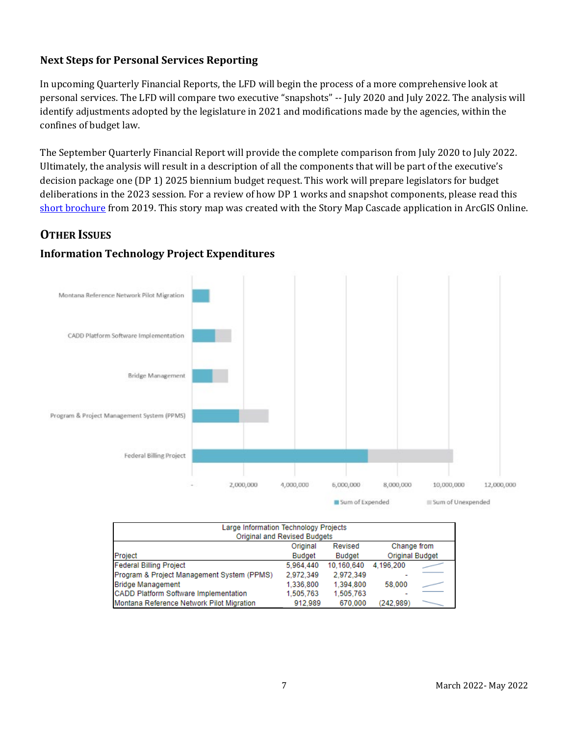### **Next Steps for Personal Services Reporting**

In upcoming Quarterly Financial Reports, the LFD will begin the process of a more comprehensive look at personal services. The LFD will compare two executive "snapshots" -- July 2020 and July 2022. The analysis will identify adjustments adopted by the legislature in 2021 and modifications made by the agencies, within the confines of budget law.

The September Quarterly Financial Report will provide the complete comparison from July 2020 to July 2022. Ultimately, the analysis will result in a description of all the components that will be part of the executive's decision package one (DP 1) 2025 biennium budget request. This work will prepare legislators for budget deliberations in the 2023 session. For a review of how DP 1 works and snapshot components, please read this [short brochure](https://montana.maps.arcgis.com/apps/Cascade/index.html?appid=23095fcf15754f4fb38b63c58a884b97) from 2019. This story map was created with the Story Map Cascade application in ArcGIS Online.

# **OTHER ISSUES**

### **Information Technology Project Expenditures**



| Large Information Technology Projects<br>Original and Revised Budgets |           |            |           |  |  |  |  |
|-----------------------------------------------------------------------|-----------|------------|-----------|--|--|--|--|
| Change from<br>Original<br>Revised                                    |           |            |           |  |  |  |  |
| <b>Original Budget</b><br>Project<br><b>Budget</b><br><b>Budget</b>   |           |            |           |  |  |  |  |
| <b>Federal Billing Project</b>                                        | 5.964.440 | 10.160.640 | 4.196.200 |  |  |  |  |
| Program & Project Management System (PPMS)                            | 2.972.349 | 2.972.349  |           |  |  |  |  |
| <b>Bridge Management</b>                                              | 1.336.800 | 1.394.800  | 58,000    |  |  |  |  |
| <b>CADD Platform Software Implementation</b>                          | 1.505.763 | 1.505.763  |           |  |  |  |  |
| Montana Reference Network Pilot Migration                             | 912.989   | 670.000    | (242.989) |  |  |  |  |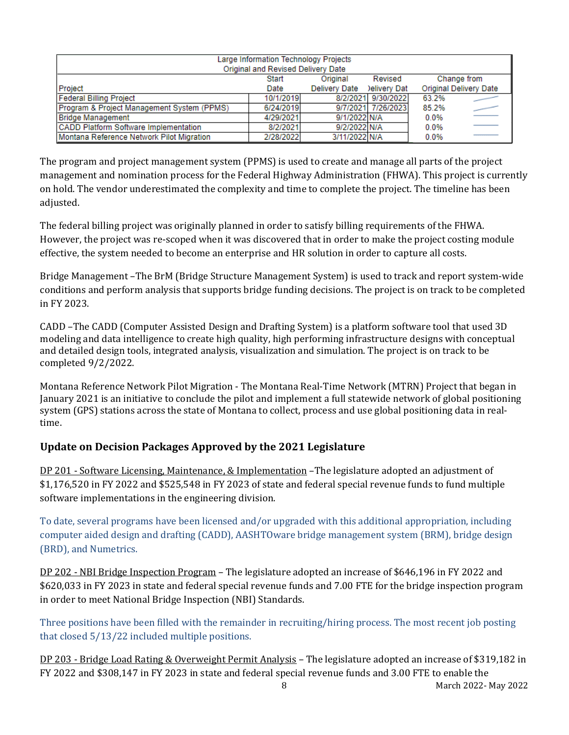| Large Information Technology Projects<br>Original and Revised Delivery Date |           |                      |                    |       |                               |  |
|-----------------------------------------------------------------------------|-----------|----------------------|--------------------|-------|-------------------------------|--|
|                                                                             | Start     | Original             | Revised            |       | Change from                   |  |
| Project                                                                     | Date      | <b>Delivery Date</b> | elivery Dat        |       | <b>Original Delivery Date</b> |  |
| <b>Federal Billing Project</b>                                              | 10/1/2019 |                      | 8/2/2021 9/30/2022 | 63.2% |                               |  |
| Program & Project Management System (PPMS)                                  | 6/24/2019 |                      | 9/7/2021 7/26/2023 | 85.2% |                               |  |
| <b>Bridge Management</b>                                                    | 4/29/2021 | 9/1/2022 N/A         |                    | 0.0%  |                               |  |
| <b>CADD Platform Software Implementation</b>                                | 8/2/2021  | 9/2/2022 N/A         |                    | 0.0%  |                               |  |
| Montana Reference Network Pilot Migration                                   | 2/28/2022 | 3/11/2022 N/A        |                    | 0.0%  |                               |  |

The program and project management system (PPMS) is used to create and manage all parts of the project management and nomination process for the Federal Highway Administration (FHWA). This project is currently on hold. The vendor underestimated the complexity and time to complete the project. The timeline has been adjusted.

The federal billing project was originally planned in order to satisfy billing requirements of the FHWA. However, the project was re-scoped when it was discovered that in order to make the project costing module effective, the system needed to become an enterprise and HR solution in order to capture all costs.

Bridge Management –The BrM (Bridge Structure Management System) is used to track and report system-wide conditions and perform analysis that supports bridge funding decisions. The project is on track to be completed in FY 2023.

CADD –The CADD (Computer Assisted Design and Drafting System) is a platform software tool that used 3D modeling and data intelligence to create high quality, high performing infrastructure designs with conceptual and detailed design tools, integrated analysis, visualization and simulation. The project is on track to be completed 9/2/2022.

Montana Reference Network Pilot Migration - The Montana Real-Time Network (MTRN) Project that began in January 2021 is an initiative to conclude the pilot and implement a full statewide network of global positioning system (GPS) stations across the state of Montana to collect, process and use global positioning data in realtime.

# **Update on Decision Packages Approved by the 2021 Legislature**

DP 201 - Software Licensing, Maintenance, & Implementation –The legislature adopted an adjustment of \$1,176,520 in FY 2022 and \$525,548 in FY 2023 of state and federal special revenue funds to fund multiple software implementations in the engineering division.

To date, several programs have been licensed and/or upgraded with this additional appropriation, including computer aided design and drafting (CADD), AASHTOware bridge management system (BRM), bridge design (BRD), and Numetrics.

DP 202 - NBI Bridge Inspection Program – The legislature adopted an increase of \$646,196 in FY 2022 and \$620,033 in FY 2023 in state and federal special revenue funds and 7.00 FTE for the bridge inspection program in order to meet National Bridge Inspection (NBI) Standards.

Three positions have been filled with the remainder in recruiting/hiring process. The most recent job posting that closed 5/13/22 included multiple positions.

DP 203 - Bridge Load Rating & Overweight Permit Analysis – The legislature adopted an increase of \$319,182 in FY 2022 and \$308,147 in FY 2023 in state and federal special revenue funds and 3.00 FTE to enable the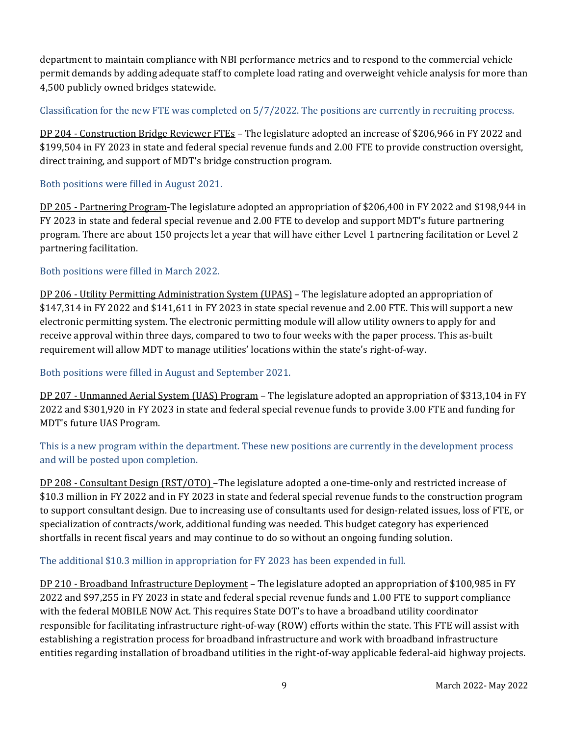department to maintain compliance with NBI performance metrics and to respond to the commercial vehicle permit demands by adding adequate staff to complete load rating and overweight vehicle analysis for more than 4,500 publicly owned bridges statewide.

#### Classification for the new FTE was completed on 5/7/2022. The positions are currently in recruiting process.

DP 204 - Construction Bridge Reviewer FTEs – The legislature adopted an increase of \$206,966 in FY 2022 and \$199,504 in FY 2023 in state and federal special revenue funds and 2.00 FTE to provide construction oversight, direct training, and support of MDT's bridge construction program.

#### Both positions were filled in August 2021.

DP 205 - Partnering Program-The legislature adopted an appropriation of \$206,400 in FY 2022 and \$198,944 in FY 2023 in state and federal special revenue and 2.00 FTE to develop and support MDT's future partnering program. There are about 150 projects let a year that will have either Level 1 partnering facilitation or Level 2 partnering facilitation.

#### Both positions were filled in March 2022.

DP 206 - Utility Permitting Administration System (UPAS) – The legislature adopted an appropriation of \$147,314 in FY 2022 and \$141,611 in FY 2023 in state special revenue and 2.00 FTE. This will support a new electronic permitting system. The electronic permitting module will allow utility owners to apply for and receive approval within three days, compared to two to four weeks with the paper process. This as-built requirement will allow MDT to manage utilities' locations within the state's right-of-way.

#### Both positions were filled in August and September 2021.

DP 207 - Unmanned Aerial System (UAS) Program – The legislature adopted an appropriation of \$313,104 in FY 2022 and \$301,920 in FY 2023 in state and federal special revenue funds to provide 3.00 FTE and funding for MDT's future UAS Program.

This is a new program within the department. These new positions are currently in the development process and will be posted upon completion.

DP 208 - Consultant Design (RST/OTO) –The legislature adopted a one-time-only and restricted increase of \$10.3 million in FY 2022 and in FY 2023 in state and federal special revenue funds to the construction program to support consultant design. Due to increasing use of consultants used for design-related issues, loss of FTE, or specialization of contracts/work, additional funding was needed. This budget category has experienced shortfalls in recent fiscal years and may continue to do so without an ongoing funding solution.

#### The additional \$10.3 million in appropriation for FY 2023 has been expended in full.

DP 210 - Broadband Infrastructure Deployment – The legislature adopted an appropriation of \$100,985 in FY 2022 and \$97,255 in FY 2023 in state and federal special revenue funds and 1.00 FTE to support compliance with the federal MOBILE NOW Act. This requires State DOT's to have a broadband utility coordinator responsible for facilitating infrastructure right-of-way (ROW) efforts within the state. This FTE will assist with establishing a registration process for broadband infrastructure and work with broadband infrastructure entities regarding installation of broadband utilities in the right-of-way applicable federal-aid highway projects.